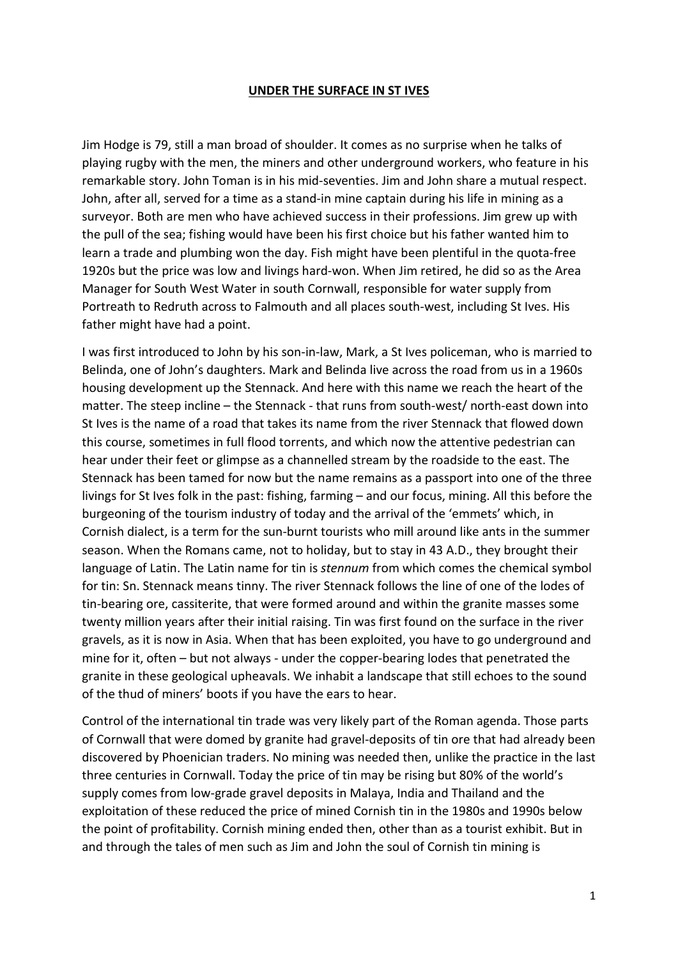## **UNDER THE SURFACE IN ST IVES**

Jim Hodge is 79, still a man broad of shoulder. It comes as no surprise when he talks of playing rugby with the men, the miners and other underground workers, who feature in his remarkable story. John Toman is in his mid-seventies. Jim and John share a mutual respect. John, after all, served for a time as a stand-in mine captain during his life in mining as a surveyor. Both are men who have achieved success in their professions. Jim grew up with the pull of the sea; fishing would have been his first choice but his father wanted him to learn a trade and plumbing won the day. Fish might have been plentiful in the quota-free 1920s but the price was low and livings hard-won. When Jim retired, he did so as the Area Manager for South West Water in south Cornwall, responsible for water supply from Portreath to Redruth across to Falmouth and all places south-west, including St Ives. His father might have had a point.

I was first introduced to John by his son-in-law, Mark, a St Ives policeman, who is married to Belinda, one of John's daughters. Mark and Belinda live across the road from us in a 1960s housing development up the Stennack. And here with this name we reach the heart of the matter. The steep incline – the Stennack - that runs from south-west/ north-east down into St Ives is the name of a road that takes its name from the river Stennack that flowed down this course, sometimes in full flood torrents, and which now the attentive pedestrian can hear under their feet or glimpse as a channelled stream by the roadside to the east. The Stennack has been tamed for now but the name remains as a passport into one of the three livings for St Ives folk in the past: fishing, farming – and our focus, mining. All this before the burgeoning of the tourism industry of today and the arrival of the 'emmets' which, in Cornish dialect, is a term for the sun-burnt tourists who mill around like ants in the summer season. When the Romans came, not to holiday, but to stay in 43 A.D., they brought their language of Latin. The Latin name for tin is *stennum* from which comes the chemical symbol for tin: Sn. Stennack means tinny. The river Stennack follows the line of one of the lodes of tin-bearing ore, cassiterite, that were formed around and within the granite masses some twenty million years after their initial raising. Tin was first found on the surface in the river gravels, as it is now in Asia. When that has been exploited, you have to go underground and mine for it, often – but not always - under the copper-bearing lodes that penetrated the granite in these geological upheavals. We inhabit a landscape that still echoes to the sound of the thud of miners' boots if you have the ears to hear.

Control of the international tin trade was very likely part of the Roman agenda. Those parts of Cornwall that were domed by granite had gravel-deposits of tin ore that had already been discovered by Phoenician traders. No mining was needed then, unlike the practice in the last three centuries in Cornwall. Today the price of tin may be rising but 80% of the world's supply comes from low-grade gravel deposits in Malaya, India and Thailand and the exploitation of these reduced the price of mined Cornish tin in the 1980s and 1990s below the point of profitability. Cornish mining ended then, other than as a tourist exhibit. But in and through the tales of men such as Jim and John the soul of Cornish tin mining is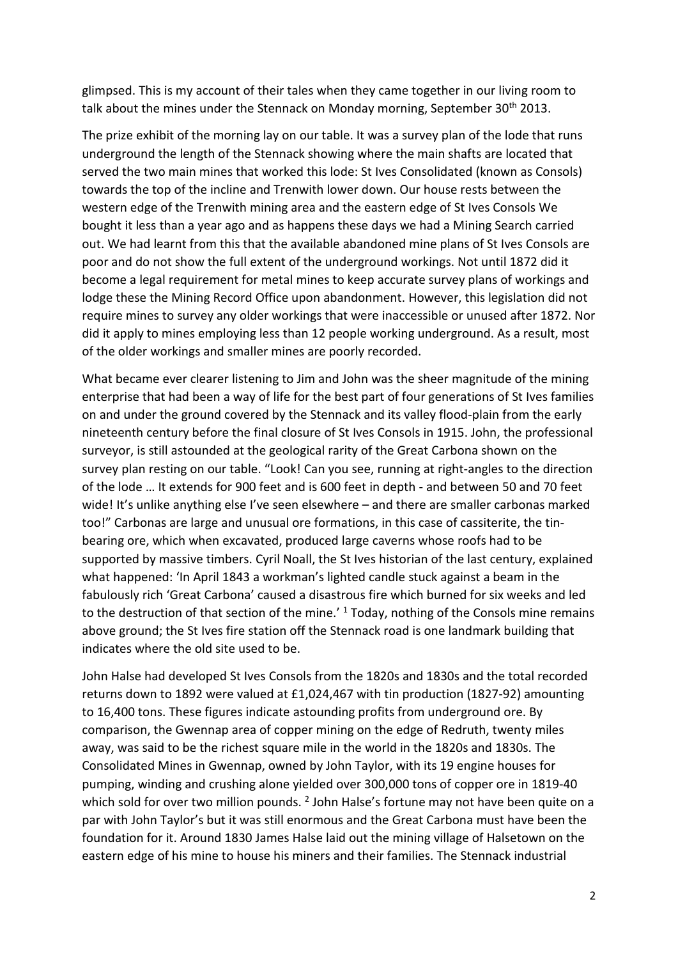glimpsed. This is my account of their tales when they came together in our living room to talk about the mines under the Stennack on Monday morning, September 30<sup>th</sup> 2013.

The prize exhibit of the morning lay on our table. It was a survey plan of the lode that runs underground the length of the Stennack showing where the main shafts are located that served the two main mines that worked this lode: St Ives Consolidated (known as Consols) towards the top of the incline and Trenwith lower down. Our house rests between the western edge of the Trenwith mining area and the eastern edge of St Ives Consols We bought it less than a year ago and as happens these days we had a Mining Search carried out. We had learnt from this that the available abandoned mine plans of St Ives Consols are poor and do not show the full extent of the underground workings. Not until 1872 did it become a legal requirement for metal mines to keep accurate survey plans of workings and lodge these the Mining Record Office upon abandonment. However, this legislation did not require mines to survey any older workings that were inaccessible or unused after 1872. Nor did it apply to mines employing less than 12 people working underground. As a result, most of the older workings and smaller mines are poorly recorded.

What became ever clearer listening to Jim and John was the sheer magnitude of the mining enterprise that had been a way of life for the best part of four generations of St Ives families on and under the ground covered by the Stennack and its valley flood-plain from the early nineteenth century before the final closure of St Ives Consols in 1915. John, the professional surveyor, is still astounded at the geological rarity of the Great Carbona shown on the survey plan resting on our table. "Look! Can you see, running at right-angles to the direction of the lode … It extends for 900 feet and is 600 feet in depth - and between 50 and 70 feet wide! It's unlike anything else I've seen elsewhere – and there are smaller carbonas marked too!" Carbonas are large and unusual ore formations, in this case of cassiterite, the tinbearing ore, which when excavated, produced large caverns whose roofs had to be supported by massive timbers. Cyril Noall, the St Ives historian of the last century, explained what happened: 'In April 1843 a workman's lighted candle stuck against a beam in the fabulously rich 'Great Carbona' caused a disastrous fire which burned for six weeks and led to the destruction of that section of the mine.<sup> $1$ </sup> Today, nothing of the Consols mine remains above ground; the St Ives fire station off the Stennack road is one landmark building that indicates where the old site used to be.

John Halse had developed St Ives Consols from the 1820s and 1830s and the total recorded returns down to 1892 were valued at £1,024,467 with tin production (1827-92) amounting to 16,400 tons. These figures indicate astounding profits from underground ore. By comparison, the Gwennap area of copper mining on the edge of Redruth, twenty miles away, was said to be the richest square mile in the world in the 1820s and 1830s. The Consolidated Mines in Gwennap, owned by John Taylor, with its 19 engine houses for pumping, winding and crushing alone yielded over 300,000 tons of copper ore in 1819-40 which sold for over two million pounds. <sup>2</sup> John Halse's fortune may not have been quite on a par with John Taylor's but it was still enormous and the Great Carbona must have been the foundation for it. Around 1830 James Halse laid out the mining village of Halsetown on the eastern edge of his mine to house his miners and their families. The Stennack industrial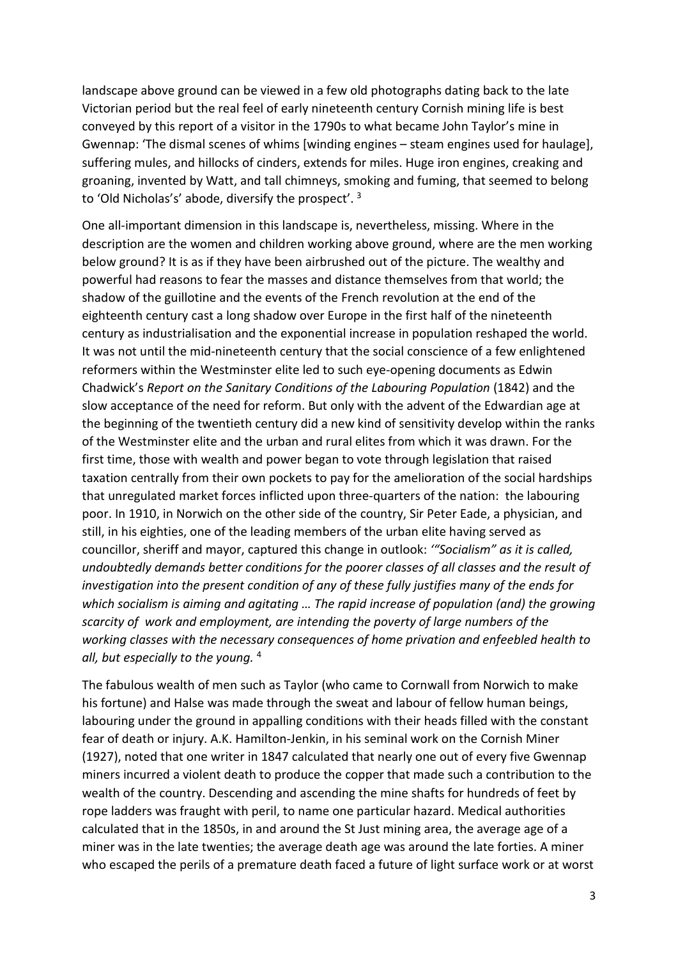landscape above ground can be viewed in a few old photographs dating back to the late Victorian period but the real feel of early nineteenth century Cornish mining life is best conveyed by this report of a visitor in the 1790s to what became John Taylor's mine in Gwennap: 'The dismal scenes of whims [winding engines – steam engines used for haulage], suffering mules, and hillocks of cinders, extends for miles. Huge iron engines, creaking and groaning, invented by Watt, and tall chimneys, smoking and fuming, that seemed to belong to 'Old Nicholas's' abode, diversify the prospect'. 3

One all-important dimension in this landscape is, nevertheless, missing. Where in the description are the women and children working above ground, where are the men working below ground? It is as if they have been airbrushed out of the picture. The wealthy and powerful had reasons to fear the masses and distance themselves from that world; the shadow of the guillotine and the events of the French revolution at the end of the eighteenth century cast a long shadow over Europe in the first half of the nineteenth century as industrialisation and the exponential increase in population reshaped the world. It was not until the mid-nineteenth century that the social conscience of a few enlightened reformers within the Westminster elite led to such eye-opening documents as Edwin Chadwick's *Report on the Sanitary Conditions of the Labouring Population* (1842) and the slow acceptance of the need for reform. But only with the advent of the Edwardian age at the beginning of the twentieth century did a new kind of sensitivity develop within the ranks of the Westminster elite and the urban and rural elites from which it was drawn. For the first time, those with wealth and power began to vote through legislation that raised taxation centrally from their own pockets to pay for the amelioration of the social hardships that unregulated market forces inflicted upon three-quarters of the nation: the labouring poor. In 1910, in Norwich on the other side of the country, Sir Peter Eade, a physician, and still, in his eighties, one of the leading members of the urban elite having served as councillor, sheriff and mayor, captured this change in outlook: *'"Socialism" as it is called, undoubtedly demands better conditions for the poorer classes of all classes and the result of investigation into the present condition of any of these fully justifies many of the ends for which socialism is aiming and agitating … The rapid increase of population (and) the growing scarcity of work and employment, are intending the poverty of large numbers of the working classes with the necessary consequences of home privation and enfeebled health to all, but especially to the young.* <sup>4</sup>

The fabulous wealth of men such as Taylor (who came to Cornwall from Norwich to make his fortune) and Halse was made through the sweat and labour of fellow human beings, labouring under the ground in appalling conditions with their heads filled with the constant fear of death or injury. A.K. Hamilton-Jenkin, in his seminal work on the Cornish Miner (1927), noted that one writer in 1847 calculated that nearly one out of every five Gwennap miners incurred a violent death to produce the copper that made such a contribution to the wealth of the country. Descending and ascending the mine shafts for hundreds of feet by rope ladders was fraught with peril, to name one particular hazard. Medical authorities calculated that in the 1850s, in and around the St Just mining area, the average age of a miner was in the late twenties; the average death age was around the late forties. A miner who escaped the perils of a premature death faced a future of light surface work or at worst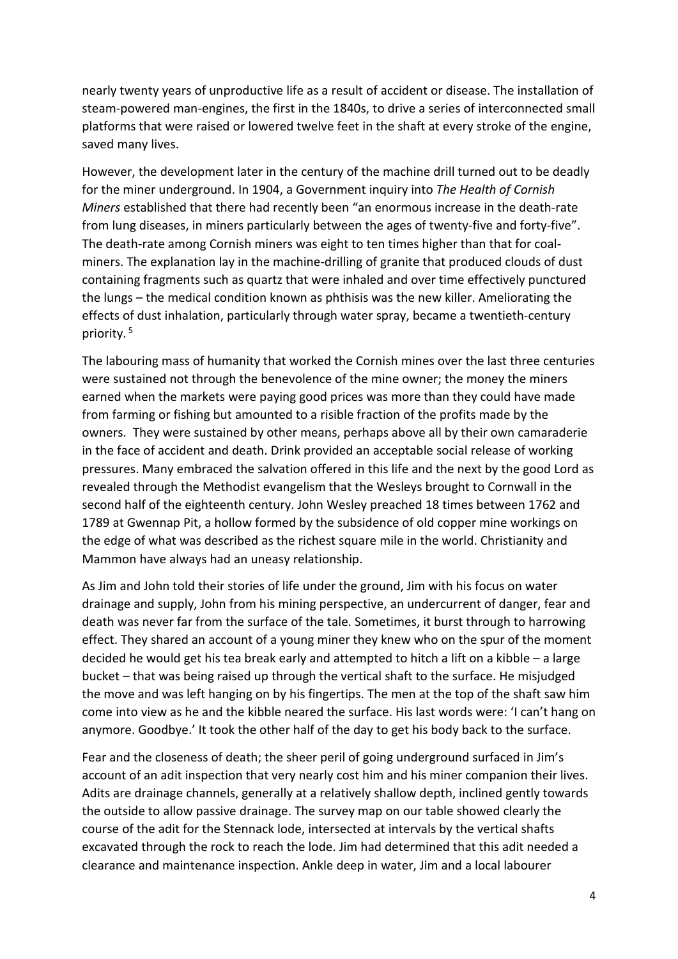nearly twenty years of unproductive life as a result of accident or disease. The installation of steam-powered man-engines, the first in the 1840s, to drive a series of interconnected small platforms that were raised or lowered twelve feet in the shaft at every stroke of the engine, saved many lives.

However, the development later in the century of the machine drill turned out to be deadly for the miner underground. In 1904, a Government inquiry into *The Health of Cornish Miners* established that there had recently been "an enormous increase in the death-rate from lung diseases, in miners particularly between the ages of twenty-five and forty-five". The death-rate among Cornish miners was eight to ten times higher than that for coalminers. The explanation lay in the machine-drilling of granite that produced clouds of dust containing fragments such as quartz that were inhaled and over time effectively punctured the lungs – the medical condition known as phthisis was the new killer. Ameliorating the effects of dust inhalation, particularly through water spray, became a twentieth-century priority. 5

The labouring mass of humanity that worked the Cornish mines over the last three centuries were sustained not through the benevolence of the mine owner; the money the miners earned when the markets were paying good prices was more than they could have made from farming or fishing but amounted to a risible fraction of the profits made by the owners. They were sustained by other means, perhaps above all by their own camaraderie in the face of accident and death. Drink provided an acceptable social release of working pressures. Many embraced the salvation offered in this life and the next by the good Lord as revealed through the Methodist evangelism that the Wesleys brought to Cornwall in the second half of the eighteenth century. John Wesley preached 18 times between 1762 and 1789 at Gwennap Pit, a hollow formed by the subsidence of old copper mine workings on the edge of what was described as the richest square mile in the world. Christianity and Mammon have always had an uneasy relationship.

As Jim and John told their stories of life under the ground, Jim with his focus on water drainage and supply, John from his mining perspective, an undercurrent of danger, fear and death was never far from the surface of the tale. Sometimes, it burst through to harrowing effect. They shared an account of a young miner they knew who on the spur of the moment decided he would get his tea break early and attempted to hitch a lift on a kibble – a large bucket – that was being raised up through the vertical shaft to the surface. He misjudged the move and was left hanging on by his fingertips. The men at the top of the shaft saw him come into view as he and the kibble neared the surface. His last words were: 'I can't hang on anymore. Goodbye.' It took the other half of the day to get his body back to the surface.

Fear and the closeness of death; the sheer peril of going underground surfaced in Jim's account of an adit inspection that very nearly cost him and his miner companion their lives. Adits are drainage channels, generally at a relatively shallow depth, inclined gently towards the outside to allow passive drainage. The survey map on our table showed clearly the course of the adit for the Stennack lode, intersected at intervals by the vertical shafts excavated through the rock to reach the lode. Jim had determined that this adit needed a clearance and maintenance inspection. Ankle deep in water, Jim and a local labourer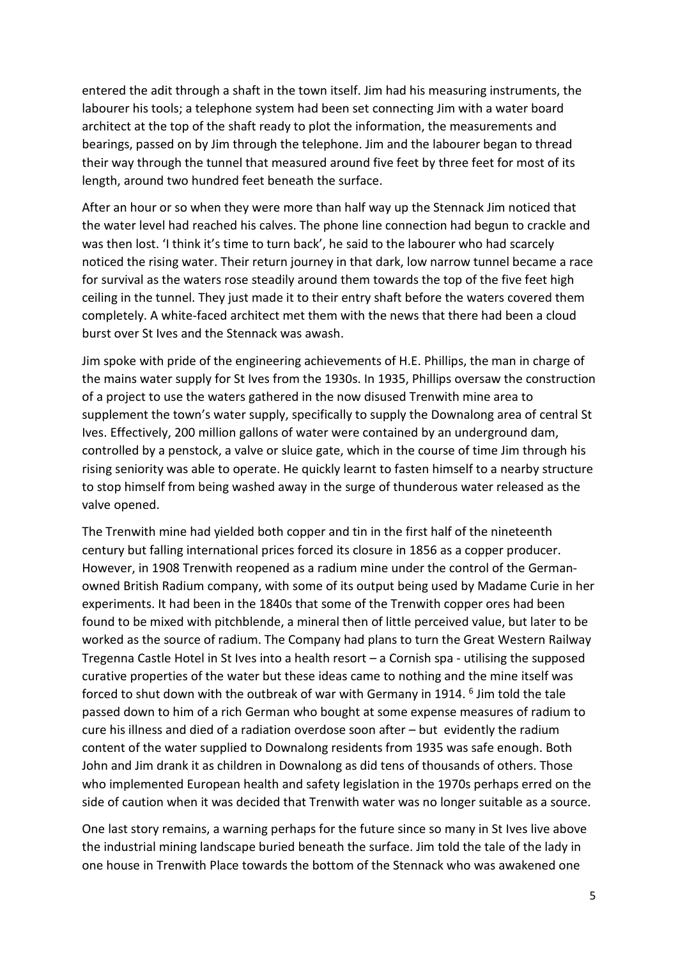entered the adit through a shaft in the town itself. Jim had his measuring instruments, the labourer his tools; a telephone system had been set connecting Jim with a water board architect at the top of the shaft ready to plot the information, the measurements and bearings, passed on by Jim through the telephone. Jim and the labourer began to thread their way through the tunnel that measured around five feet by three feet for most of its length, around two hundred feet beneath the surface.

After an hour or so when they were more than half way up the Stennack Jim noticed that the water level had reached his calves. The phone line connection had begun to crackle and was then lost. 'I think it's time to turn back', he said to the labourer who had scarcely noticed the rising water. Their return journey in that dark, low narrow tunnel became a race for survival as the waters rose steadily around them towards the top of the five feet high ceiling in the tunnel. They just made it to their entry shaft before the waters covered them completely. A white-faced architect met them with the news that there had been a cloud burst over St Ives and the Stennack was awash.

Jim spoke with pride of the engineering achievements of H.E. Phillips, the man in charge of the mains water supply for St Ives from the 1930s. In 1935, Phillips oversaw the construction of a project to use the waters gathered in the now disused Trenwith mine area to supplement the town's water supply, specifically to supply the Downalong area of central St Ives. Effectively, 200 million gallons of water were contained by an underground dam, controlled by a penstock, a valve or sluice gate, which in the course of time Jim through his rising seniority was able to operate. He quickly learnt to fasten himself to a nearby structure to stop himself from being washed away in the surge of thunderous water released as the valve opened.

The Trenwith mine had yielded both copper and tin in the first half of the nineteenth century but falling international prices forced its closure in 1856 as a copper producer. However, in 1908 Trenwith reopened as a radium mine under the control of the Germanowned British Radium company, with some of its output being used by Madame Curie in her experiments. It had been in the 1840s that some of the Trenwith copper ores had been found to be mixed with pitchblende, a mineral then of little perceived value, but later to be worked as the source of radium. The Company had plans to turn the Great Western Railway Tregenna Castle Hotel in St Ives into a health resort – a Cornish spa - utilising the supposed curative properties of the water but these ideas came to nothing and the mine itself was forced to shut down with the outbreak of war with Germany in 1914.  $6$  Jim told the tale passed down to him of a rich German who bought at some expense measures of radium to cure his illness and died of a radiation overdose soon after – but evidently the radium content of the water supplied to Downalong residents from 1935 was safe enough. Both John and Jim drank it as children in Downalong as did tens of thousands of others. Those who implemented European health and safety legislation in the 1970s perhaps erred on the side of caution when it was decided that Trenwith water was no longer suitable as a source.

One last story remains, a warning perhaps for the future since so many in St Ives live above the industrial mining landscape buried beneath the surface. Jim told the tale of the lady in one house in Trenwith Place towards the bottom of the Stennack who was awakened one